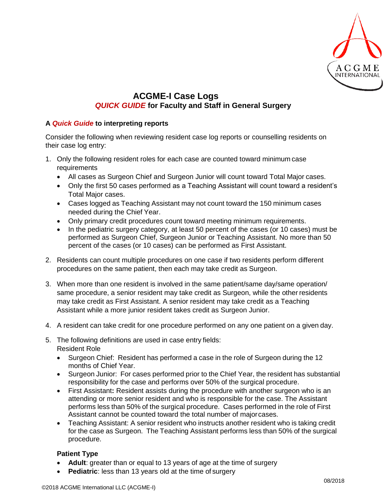

## **ACGME-I Case Logs** *QUICK GUIDE* **for Faculty and Staff in General Surgery**

## **A** *Quick Guide* **to interpreting reports**

Consider the following when reviewing resident case log reports or counselling residents on their case log entry:

- 1. Only the following resident roles for each case are counted toward minimum case **requirements** 
	- All cases as Surgeon Chief and Surgeon Junior will count toward Total Major cases.
	- Only the first 50 cases performed as a Teaching Assistant will count toward a resident's Total Major cases.
	- Cases logged as Teaching Assistant may not count toward the 150 minimum cases needed during the Chief Year.
	- Only primary credit procedures count toward meeting minimum requirements.
	- In the pediatric surgery category, at least 50 percent of the cases (or 10 cases) must be performed as Surgeon Chief, Surgeon Junior or Teaching Assistant. No more than 50 percent of the cases (or 10 cases) can be performed as First Assistant.
- 2. Residents can count multiple procedures on one case if two residents perform different procedures on the same patient, then each may take credit as Surgeon.
- 3. When more than one resident is involved in the same patient/same day/same operation/ same procedure, a senior resident may take credit as Surgeon, while the other residents may take credit as First Assistant. A senior resident may take credit as a Teaching Assistant while a more junior resident takes credit as Surgeon Junior.
- 4. A resident can take credit for one procedure performed on any one patient on a given day.
- 5. The following definitions are used in case entry fields: Resident Role
	- Surgeon Chief: Resident has performed a case in the role of Surgeon during the 12 months of Chief Year.
	- Surgeon Junior: For cases performed prior to the Chief Year, the resident has substantial responsibility for the case and performs over 50% of the surgical procedure.
	- First Assistant**:** Resident assists during the procedure with another surgeon who is an attending or more senior resident and who is responsible for the case. The Assistant performs less than 50% of the surgical procedure. Cases performed in the role of First Assistant cannot be counted toward the total number of majorcases.
	- Teaching Assistant: A senior resident who instructs another resident who is taking credit for the case as Surgeon. The Teaching Assistant performs less than 50% of the surgical procedure.

## **Patient Type**

- **Adult**: greater than or equal to 13 years of age at the time of surgery
- **Pediatric**: less than 13 years old at the time of surgery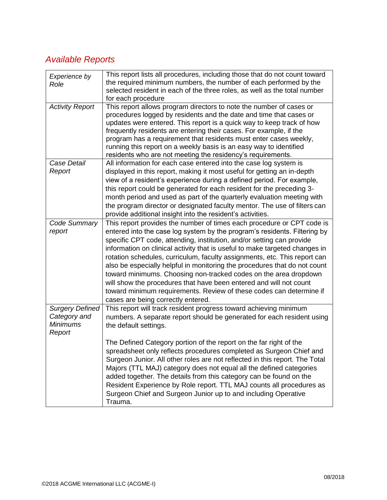## *Available Reports*

| Experience by<br>Role                                               | This report lists all procedures, including those that do not count toward<br>the required minimum numbers, the number of each performed by the<br>selected resident in each of the three roles, as well as the total number<br>for each procedure                                                                                                                                                                                                                                                                                                                                                                                                                                                                           |
|---------------------------------------------------------------------|------------------------------------------------------------------------------------------------------------------------------------------------------------------------------------------------------------------------------------------------------------------------------------------------------------------------------------------------------------------------------------------------------------------------------------------------------------------------------------------------------------------------------------------------------------------------------------------------------------------------------------------------------------------------------------------------------------------------------|
| <b>Activity Report</b>                                              | This report allows program directors to note the number of cases or<br>procedures logged by residents and the date and time that cases or<br>updates were entered. This report is a quick way to keep track of how<br>frequently residents are entering their cases. For example, if the<br>program has a requirement that residents must enter cases weekly,<br>running this report on a weekly basis is an easy way to identified<br>residents who are not meeting the residency's requirements.                                                                                                                                                                                                                           |
| Case Detail<br>Report                                               | All information for each case entered into the case log system is<br>displayed in this report, making it most useful for getting an in-depth<br>view of a resident's experience during a defined period. For example,<br>this report could be generated for each resident for the preceding 3-<br>month period and used as part of the quarterly evaluation meeting with<br>the program director or designated faculty mentor. The use of filters can<br>provide additional insight into the resident's activities.                                                                                                                                                                                                          |
| Code Summary<br>report                                              | This report provides the number of times each procedure or CPT code is<br>entered into the case log system by the program's residents. Filtering by<br>specific CPT code, attending, institution, and/or setting can provide<br>information on clinical activity that is useful to make targeted changes in<br>rotation schedules, curriculum, faculty assignments, etc. This report can<br>also be especially helpful in monitoring the procedures that do not count<br>toward minimums. Choosing non-tracked codes on the area dropdown<br>will show the procedures that have been entered and will not count<br>toward minimum requirements. Review of these codes can determine if<br>cases are being correctly entered. |
| <b>Surgery Defined</b><br>Category and<br><b>Minimums</b><br>Report | This report will track resident progress toward achieving minimum<br>numbers. A separate report should be generated for each resident using<br>the default settings.                                                                                                                                                                                                                                                                                                                                                                                                                                                                                                                                                         |
|                                                                     | The Defined Category portion of the report on the far right of the<br>spreadsheet only reflects procedures completed as Surgeon Chief and<br>Surgeon Junior. All other roles are not reflected in this report. The Total<br>Majors (TTL MAJ) category does not equal all the defined categories<br>added together. The details from this category can be found on the<br>Resident Experience by Role report. TTL MAJ counts all procedures as<br>Surgeon Chief and Surgeon Junior up to and including Operative<br>Trauma.                                                                                                                                                                                                   |